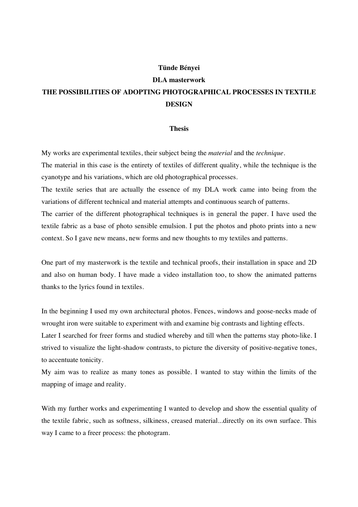## **Tünde Bényei**

## **DLA masterwork THE POSSIBILITIES OF ADOPTING PHOTOGRAPHICAL PROCESSES IN TEXTILE DESIGN**

## **Thesis**

My works are experimental textiles, their subject being the *material* and the *technique*.

The material in this case is the entirety of textiles of different quality, while the technique is the cyanotype and his variations, which are old photographical processes.

The textile series that are actually the essence of my DLA work came into being from the variations of different technical and material attempts and continuous search of patterns.

The carrier of the different photographical techniques is in general the paper. I have used the textile fabric as a base of photo sensible emulsion. I put the photos and photo prints into a new context. So I gave new means, new forms and new thoughts to my textiles and patterns.

One part of my masterwork is the textile and technical proofs, their installation in space and 2D and also on human body. I have made a video installation too, to show the animated patterns thanks to the lyrics found in textiles.

In the beginning I used my own architectural photos. Fences, windows and goose-necks made of wrought iron were suitable to experiment with and examine big contrasts and lighting effects.

Later I searched for freer forms and studied whereby and till when the patterns stay photo-like. I strived to visualize the light-shadow contrasts, to picture the diversity of positive-negative tones, to accentuate tonicity.

My aim was to realize as many tones as possible. I wanted to stay within the limits of the mapping of image and reality.

With my further works and experimenting I wanted to develop and show the essential quality of the textile fabric, such as softness, silkiness, creased material...directly on its own surface. This way I came to a freer process: the photogram.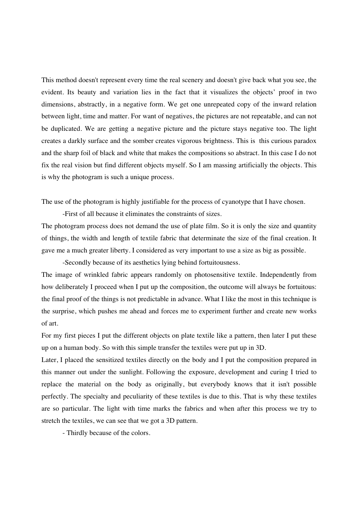This method doesn't represent every time the real scenery and doesn't give back what you see, the evident. Its beauty and variation lies in the fact that it visualizes the objects' proof in two dimensions, abstractly, in a negative form. We get one unrepeated copy of the inward relation between light, time and matter. For want of negatives, the pictures are not repeatable, and can not be duplicated. We are getting a negative picture and the picture stays negative too. The light creates a darkly surface and the somber creates vigorous brightness. This is this curious paradox and the sharp foil of black and white that makes the compositions so abstract. In this case I do not fix the real vision but find different objects myself. So I am massing artificially the objects. This is why the photogram is such a unique process.

The use of the photogram is highly justifiable for the process of cyanotype that I have chosen.

-First of all because it eliminates the constraints of sizes.

The photogram process does not demand the use of plate film. So it is only the size and quantity of things, the width and length of textile fabric that determinate the size of the final creation. It gave me a much greater liberty. I considered as very important to use a size as big as possible.

 -Secondly because of its aesthetics lying behind fortuitousness. The image of wrinkled fabric appears randomly on photosensitive textile. Independently from how deliberately I proceed when I put up the composition, the outcome will always be fortuitous: the final proof of the things is not predictable in advance. What I like the most in this technique is the surprise, which pushes me ahead and forces me to experiment further and create new works

For my first pieces I put the different objects on plate textile like a pattern, then later I put these up on a human body. So with this simple transfer the textiles were put up in 3D.

Later, I placed the sensitized textiles directly on the body and I put the composition prepared in this manner out under the sunlight. Following the exposure, development and curing I tried to replace the material on the body as originally, but everybody knows that it isn't possible perfectly. The specialty and peculiarity of these textiles is due to this. That is why these textiles are so particular. The light with time marks the fabrics and when after this process we try to stretch the textiles, we can see that we got a 3D pattern.

- Thirdly because of the colors.

of art.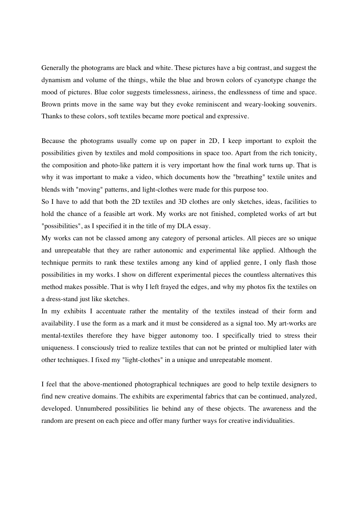Generally the photograms are black and white. These pictures have a big contrast, and suggest the dynamism and volume of the things, while the blue and brown colors of cyanotype change the mood of pictures. Blue color suggests timelessness, airiness, the endlessness of time and space. Brown prints move in the same way but they evoke reminiscent and weary-looking souvenirs. Thanks to these colors, soft textiles became more poetical and expressive.

Because the photograms usually come up on paper in 2D, I keep important to exploit the possibilities given by textiles and mold compositions in space too. Apart from the rich tonicity, the composition and photo-like pattern it is very important how the final work turns up. That is why it was important to make a video, which documents how the "breathing" textile unites and blends with "moving" patterns, and light-clothes were made for this purpose too.

So I have to add that both the 2D textiles and 3D clothes are only sketches, ideas, facilities to hold the chance of a feasible art work. My works are not finished, completed works of art but "possibilities", as I specified it in the title of my DLA essay.

My works can not be classed among any category of personal articles. All pieces are so unique and unrepeatable that they are rather autonomic and experimental like applied. Although the technique permits to rank these textiles among any kind of applied genre, I only flash those possibilities in my works. I show on different experimental pieces the countless alternatives this method makes possible. That is why I left frayed the edges, and why my photos fix the textiles on a dress-stand just like sketches.

In my exhibits I accentuate rather the mentality of the textiles instead of their form and availability. I use the form as a mark and it must be considered as a signal too. My art-works are mental-textiles therefore they have bigger autonomy too. I specifically tried to stress their uniqueness. I consciously tried to realize textiles that can not be printed or multiplied later with other techniques. I fixed my "light-clothes" in a unique and unrepeatable moment.

I feel that the above-mentioned photographical techniques are good to help textile designers to find new creative domains. The exhibits are experimental fabrics that can be continued, analyzed, developed. Unnumbered possibilities lie behind any of these objects. The awareness and the random are present on each piece and offer many further ways for creative individualities.